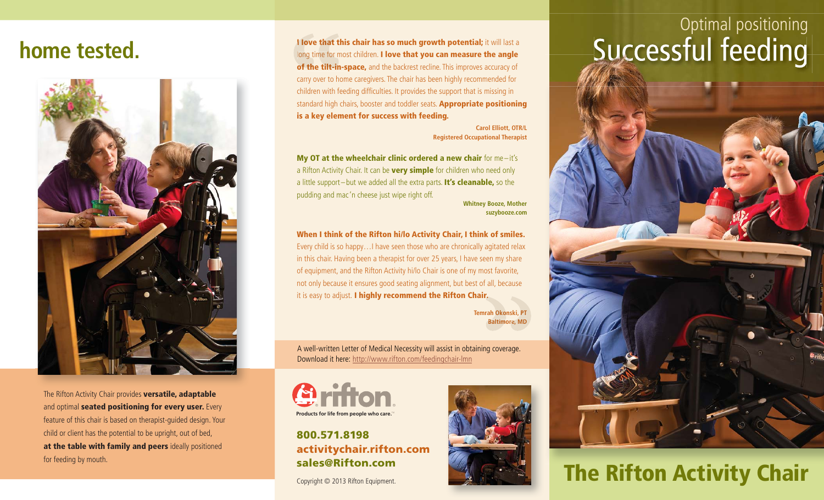### **home tested.**



The Rifton Activity Chair provides **versatile, adaptable** and optimal **seated positioning for every user.** Every feature of this chair is based on therapist-guided design. Your child or client has the potential to be upright, out of bed, **at the table with family and peers** ideally positioned for feeding by mouth.

**I love that this chair has so much growth potential;** it will last a long time for most children. **I love that you can measure the angle of the tilt-in-space,** and the backrest recline. This improves accuracy of carry over to home caregivers. The chair has been highly recommended for children with feeding difficulties. It provides the support that is missing in standard high chairs, booster and toddler seats. **Appropriate positioning is a key element for success with feeding.** that this chair has so much growth potential; it will last a<br>me for most children. I love that you can measure the angle<br>e tilt-in-space, and the backrest recline. This improves accuracy of **l love that**<br>long time for<br>**of the tilt-i** 

> **Carol Elliott, OTR/L Registered Occupational Therapist**

**My OT at the wheelchair clinic ordered a new chair** for me-it's a Rifton Activity Chair. It can be **very simple** for children who need only a little support – but we added all the extra parts. **It's cleanable,** so the pudding and mac 'n cheese just wipe right off.

**Whitney Booze, Mother suzybooze.com**

**When I think of the Rifton hi/lo Activity Chair, I think of smiles.** Every child is so happy…I have seen those who are chronically agitated relax in this chair. Having been a therapist for over 25 years, I have seen my share of equipment, and the Rifton Activity hi/lo Chair is one of my most favorite, not only because it ensures good seating alignment, but best of all, because it is easy to adjust. **I highly recommend the Rifton Chair.**

**Temrah Okonski, PT Baltimore, MD Baltimr.**<br>Irah Okonski<br>Baltimore,

A well-written Letter of Medical Necessity will assist in obtaining coverage. Download it here: http://www.rifton.com/feedingchair-lmn



#### **800.571.8198activitychair.rifton.com sales@Rifton.com**

Copyright © 2013 Rifton Equipment.



# Optimal positioning



### **The Rifton Activity Chair**